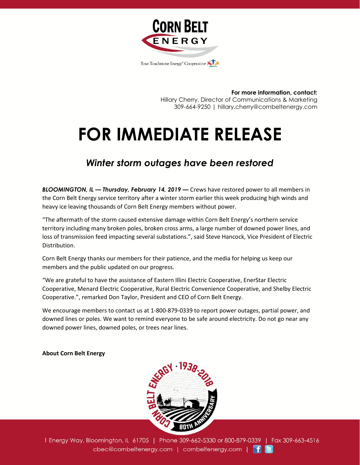

**For more information, contact:** Hillary Cherry, Director of Communications & Marketing 309-664-9250 | hillary.cherry@cornbeltenergy.com

## **FOR IMMEDIATE RELEASE**

## *Winter storm outages have been restored*

*BLOOMINGTON, IL — Thursday, February 14, 2019 —* Crews have restored power to all members in the Corn Belt Energy service territory after a winter storm earlier this week producing high winds and heavy ice leaving thousands of Corn Belt Energy members without power.

"The aftermath of the storm caused extensive damage within Corn Belt Energy's northern service territory including many broken poles, broken cross arms, a large number of downed power lines, and loss of transmission feed impacting several substations.", said Steve Hancock, Vice President of Electric Distribution.

Corn Belt Energy thanks our members for their patience, and the media for helping us keep our members and the public updated on our progress.

"We are grateful to have the assistance of Eastern Illini Electric Cooperative, EnerStar Electric Cooperative, Menard Electric Cooperative, Rural Electric Convenience Cooperative, and Shelby Electric Cooperative.", remarked Don Taylor, President and CEO of Corn Belt Energy.

We encourage members to contact us at 1-800-879-0339 to report power outages, partial power, and downed lines or poles. We want to remind everyone to be safe around electricity. Do not go near any downed power lines, downed poles, or trees near lines.

## **About Corn Belt Energy**



1 Energy Way, Bloomington, IL 61705 | Phone 309-662-5330 or 800-879-0339 | Fax 309-663-4516 cbec@cornbeltenergy.com | cornbeltenergy.com | f